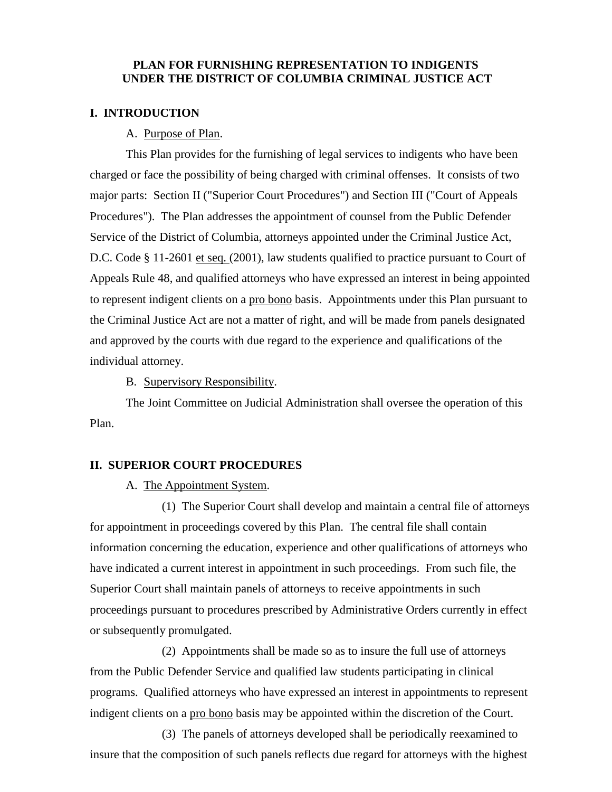# **PLAN FOR FURNISHING REPRESENTATION TO INDIGENTS UNDER THE DISTRICT OF COLUMBIA CRIMINAL JUSTICE ACT**

#### **I. INTRODUCTION**

### A. Purpose of Plan.

This Plan provides for the furnishing of legal services to indigents who have been charged or face the possibility of being charged with criminal offenses. It consists of two major parts: Section II ("Superior Court Procedures") and Section III ("Court of Appeals Procedures"). The Plan addresses the appointment of counsel from the Public Defender Service of the District of Columbia, attorneys appointed under the Criminal Justice Act, D.C. Code § 11-2601 et seq. (2001), law students qualified to practice pursuant to Court of Appeals Rule 48, and qualified attorneys who have expressed an interest in being appointed to represent indigent clients on a pro bono basis. Appointments under this Plan pursuant to the Criminal Justice Act are not a matter of right, and will be made from panels designated and approved by the courts with due regard to the experience and qualifications of the individual attorney.

B. Supervisory Responsibility.

The Joint Committee on Judicial Administration shall oversee the operation of this Plan.

#### **II. SUPERIOR COURT PROCEDURES**

#### A. The Appointment System.

(1) The Superior Court shall develop and maintain a central file of attorneys for appointment in proceedings covered by this Plan. The central file shall contain information concerning the education, experience and other qualifications of attorneys who have indicated a current interest in appointment in such proceedings. From such file, the Superior Court shall maintain panels of attorneys to receive appointments in such proceedings pursuant to procedures prescribed by Administrative Orders currently in effect or subsequently promulgated.

(2) Appointments shall be made so as to insure the full use of attorneys from the Public Defender Service and qualified law students participating in clinical programs. Qualified attorneys who have expressed an interest in appointments to represent indigent clients on a pro bono basis may be appointed within the discretion of the Court.

(3) The panels of attorneys developed shall be periodically reexamined to insure that the composition of such panels reflects due regard for attorneys with the highest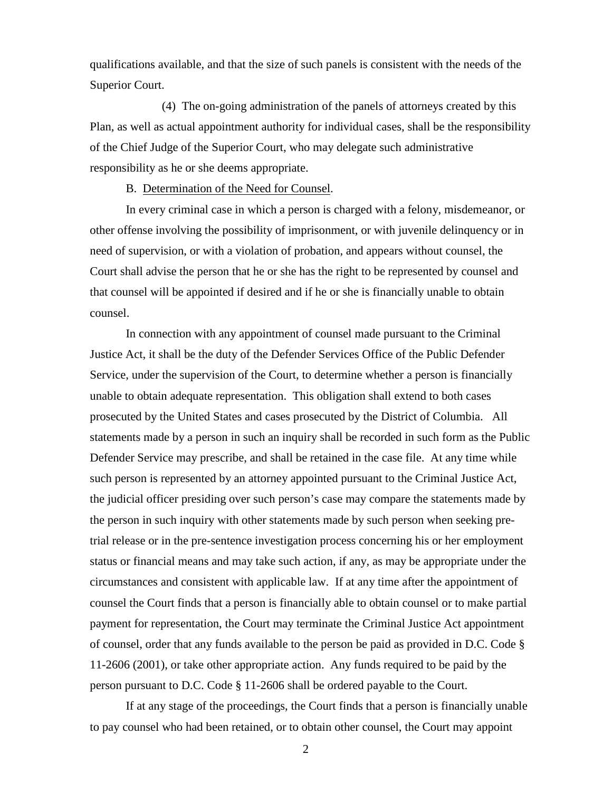qualifications available, and that the size of such panels is consistent with the needs of the Superior Court.

(4) The on-going administration of the panels of attorneys created by this Plan, as well as actual appointment authority for individual cases, shall be the responsibility of the Chief Judge of the Superior Court, who may delegate such administrative responsibility as he or she deems appropriate.

#### B. Determination of the Need for Counsel.

In every criminal case in which a person is charged with a felony, misdemeanor, or other offense involving the possibility of imprisonment, or with juvenile delinquency or in need of supervision, or with a violation of probation, and appears without counsel, the Court shall advise the person that he or she has the right to be represented by counsel and that counsel will be appointed if desired and if he or she is financially unable to obtain counsel.

In connection with any appointment of counsel made pursuant to the Criminal Justice Act, it shall be the duty of the Defender Services Office of the Public Defender Service, under the supervision of the Court, to determine whether a person is financially unable to obtain adequate representation. This obligation shall extend to both cases prosecuted by the United States and cases prosecuted by the District of Columbia. All statements made by a person in such an inquiry shall be recorded in such form as the Public Defender Service may prescribe, and shall be retained in the case file. At any time while such person is represented by an attorney appointed pursuant to the Criminal Justice Act, the judicial officer presiding over such person's case may compare the statements made by the person in such inquiry with other statements made by such person when seeking pretrial release or in the pre-sentence investigation process concerning his or her employment status or financial means and may take such action, if any, as may be appropriate under the circumstances and consistent with applicable law. If at any time after the appointment of counsel the Court finds that a person is financially able to obtain counsel or to make partial payment for representation, the Court may terminate the Criminal Justice Act appointment of counsel, order that any funds available to the person be paid as provided in D.C. Code § 11-2606 (2001), or take other appropriate action. Any funds required to be paid by the person pursuant to D.C. Code § 11-2606 shall be ordered payable to the Court.

If at any stage of the proceedings, the Court finds that a person is financially unable to pay counsel who had been retained, or to obtain other counsel, the Court may appoint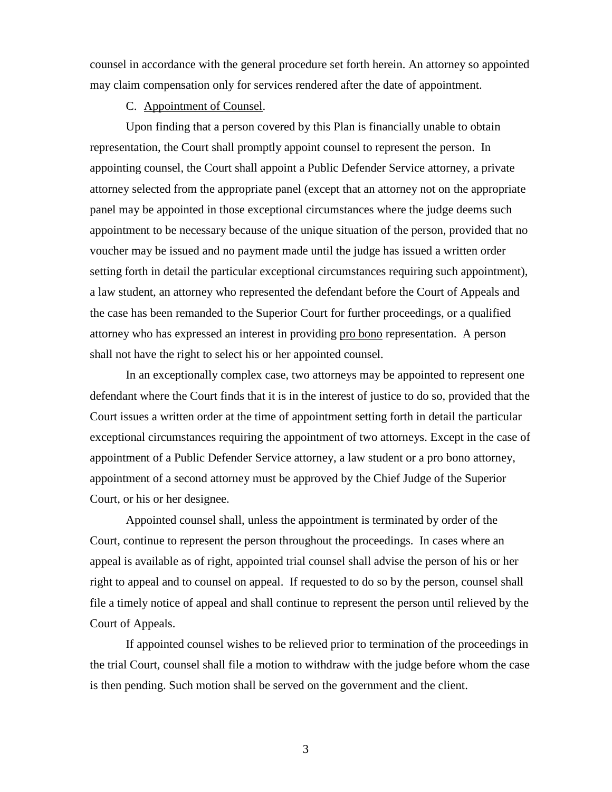counsel in accordance with the general procedure set forth herein. An attorney so appointed may claim compensation only for services rendered after the date of appointment.

C. Appointment of Counsel.

Upon finding that a person covered by this Plan is financially unable to obtain representation, the Court shall promptly appoint counsel to represent the person. In appointing counsel, the Court shall appoint a Public Defender Service attorney, a private attorney selected from the appropriate panel (except that an attorney not on the appropriate panel may be appointed in those exceptional circumstances where the judge deems such appointment to be necessary because of the unique situation of the person, provided that no voucher may be issued and no payment made until the judge has issued a written order setting forth in detail the particular exceptional circumstances requiring such appointment), a law student, an attorney who represented the defendant before the Court of Appeals and the case has been remanded to the Superior Court for further proceedings, or a qualified attorney who has expressed an interest in providing pro bono representation. A person shall not have the right to select his or her appointed counsel.

In an exceptionally complex case, two attorneys may be appointed to represent one defendant where the Court finds that it is in the interest of justice to do so, provided that the Court issues a written order at the time of appointment setting forth in detail the particular exceptional circumstances requiring the appointment of two attorneys. Except in the case of appointment of a Public Defender Service attorney, a law student or a pro bono attorney, appointment of a second attorney must be approved by the Chief Judge of the Superior Court, or his or her designee.

Appointed counsel shall, unless the appointment is terminated by order of the Court, continue to represent the person throughout the proceedings. In cases where an appeal is available as of right, appointed trial counsel shall advise the person of his or her right to appeal and to counsel on appeal. If requested to do so by the person, counsel shall file a timely notice of appeal and shall continue to represent the person until relieved by the Court of Appeals.

If appointed counsel wishes to be relieved prior to termination of the proceedings in the trial Court, counsel shall file a motion to withdraw with the judge before whom the case is then pending. Such motion shall be served on the government and the client.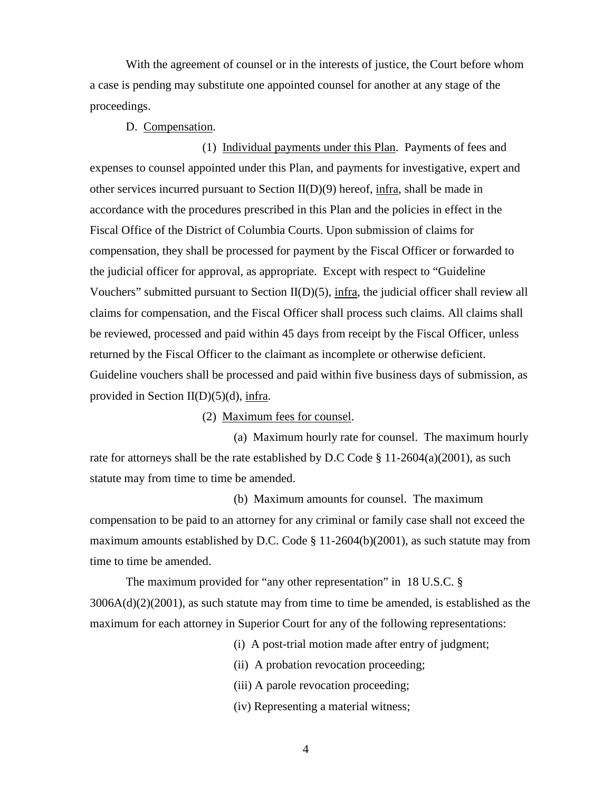With the agreement of counsel or in the interests of justice, the Court before whom a case is pending may substitute one appointed counsel for another at any stage of the proceedings.

### D. Compensation.

(1) Individual payments under this Plan. Payments of fees and expenses to counsel appointed under this Plan, and payments for investigative, expert and other services incurred pursuant to Section  $II(D)(9)$  hereof, infra, shall be made in accordance with the procedures prescribed in this Plan and the policies in effect in the Fiscal Office of the District of Columbia Courts. Upon submission of claims for compensation, they shall be processed for payment by the Fiscal Officer or forwarded to the judicial officer for approval, as appropriate. Except with respect to "Guideline Vouchers" submitted pursuant to Section  $II(D)(5)$ , infra, the judicial officer shall review all claims for compensation, and the Fiscal Officer shall process such claims. All claims shall be reviewed, processed and paid within 45 days from receipt by the Fiscal Officer, unless returned by the Fiscal Officer to the claimant as incomplete or otherwise deficient. Guideline vouchers shall be processed and paid within five business days of submission, as provided in Section II(D)(5)(d), infra.

## (2) Maximum fees for counsel.

 (a) Maximum hourly rate for counsel. The maximum hourly rate for attorneys shall be the rate established by D.C Code § 11-2604(a)(2001), as such statute may from time to time be amended.

 (b) Maximum amounts for counsel. The maximum compensation to be paid to an attorney for any criminal or family case shall not exceed the maximum amounts established by D.C. Code § 11-2604(b)(2001), as such statute may from time to time be amended.

The maximum provided for "any other representation" in 18 U.S.C. §  $3006A(d)(2)(2001)$ , as such statute may from time to time be amended, is established as the maximum for each attorney in Superior Court for any of the following representations:

(i) A post-trial motion made after entry of judgment;

(ii) A probation revocation proceeding;

(iii) A parole revocation proceeding;

(iv) Representing a material witness;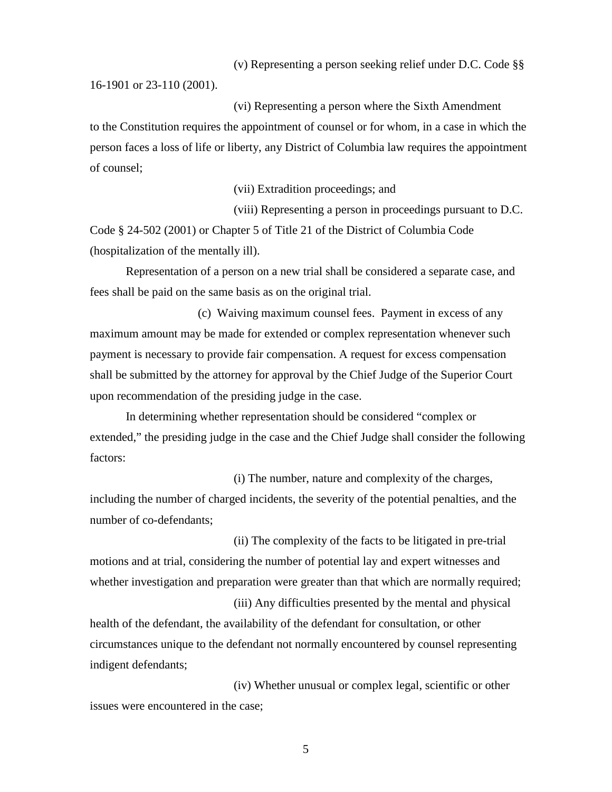(v) Representing a person seeking relief under D.C. Code §§

16-1901 or 23-110 (2001).

(vi) Representing a person where the Sixth Amendment to the Constitution requires the appointment of counsel or for whom, in a case in which the person faces a loss of life or liberty, any District of Columbia law requires the appointment of counsel;

(vii) Extradition proceedings; and

(viii) Representing a person in proceedings pursuant to D.C. Code § 24-502 (2001) or Chapter 5 of Title 21 of the District of Columbia Code (hospitalization of the mentally ill).

Representation of a person on a new trial shall be considered a separate case, and fees shall be paid on the same basis as on the original trial.

(c) Waiving maximum counsel fees. Payment in excess of any maximum amount may be made for extended or complex representation whenever such payment is necessary to provide fair compensation. A request for excess compensation shall be submitted by the attorney for approval by the Chief Judge of the Superior Court upon recommendation of the presiding judge in the case.

In determining whether representation should be considered "complex or extended," the presiding judge in the case and the Chief Judge shall consider the following factors:

(i) The number, nature and complexity of the charges, including the number of charged incidents, the severity of the potential penalties, and the number of co-defendants;

(ii) The complexity of the facts to be litigated in pre-trial motions and at trial, considering the number of potential lay and expert witnesses and whether investigation and preparation were greater than that which are normally required;

(iii) Any difficulties presented by the mental and physical health of the defendant, the availability of the defendant for consultation, or other circumstances unique to the defendant not normally encountered by counsel representing indigent defendants;

(iv) Whether unusual or complex legal, scientific or other issues were encountered in the case;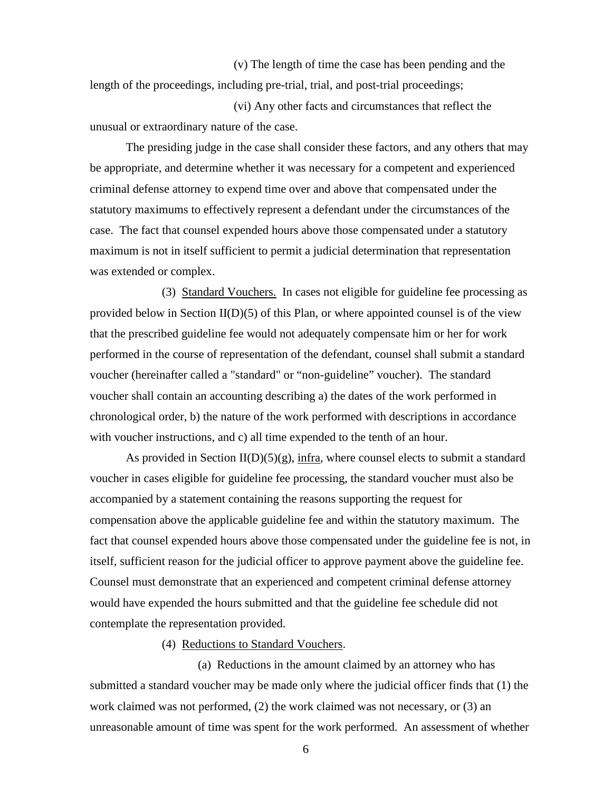(v) The length of time the case has been pending and the length of the proceedings, including pre-trial, trial, and post-trial proceedings;

(vi) Any other facts and circumstances that reflect the unusual or extraordinary nature of the case.

The presiding judge in the case shall consider these factors, and any others that may be appropriate, and determine whether it was necessary for a competent and experienced criminal defense attorney to expend time over and above that compensated under the statutory maximums to effectively represent a defendant under the circumstances of the case. The fact that counsel expended hours above those compensated under a statutory maximum is not in itself sufficient to permit a judicial determination that representation was extended or complex.

(3) Standard Vouchers. In cases not eligible for guideline fee processing as provided below in Section II(D)(5) of this Plan, or where appointed counsel is of the view that the prescribed guideline fee would not adequately compensate him or her for work performed in the course of representation of the defendant, counsel shall submit a standard voucher (hereinafter called a "standard" or "non-guideline" voucher). The standard voucher shall contain an accounting describing a) the dates of the work performed in chronological order, b) the nature of the work performed with descriptions in accordance with voucher instructions, and c) all time expended to the tenth of an hour.

As provided in Section  $II(D)(5)(g)$ , infra, where counsel elects to submit a standard voucher in cases eligible for guideline fee processing, the standard voucher must also be accompanied by a statement containing the reasons supporting the request for compensation above the applicable guideline fee and within the statutory maximum. The fact that counsel expended hours above those compensated under the guideline fee is not, in itself, sufficient reason for the judicial officer to approve payment above the guideline fee. Counsel must demonstrate that an experienced and competent criminal defense attorney would have expended the hours submitted and that the guideline fee schedule did not contemplate the representation provided.

(4) Reductions to Standard Vouchers.

(a) Reductions in the amount claimed by an attorney who has submitted a standard voucher may be made only where the judicial officer finds that (1) the work claimed was not performed, (2) the work claimed was not necessary, or (3) an unreasonable amount of time was spent for the work performed. An assessment of whether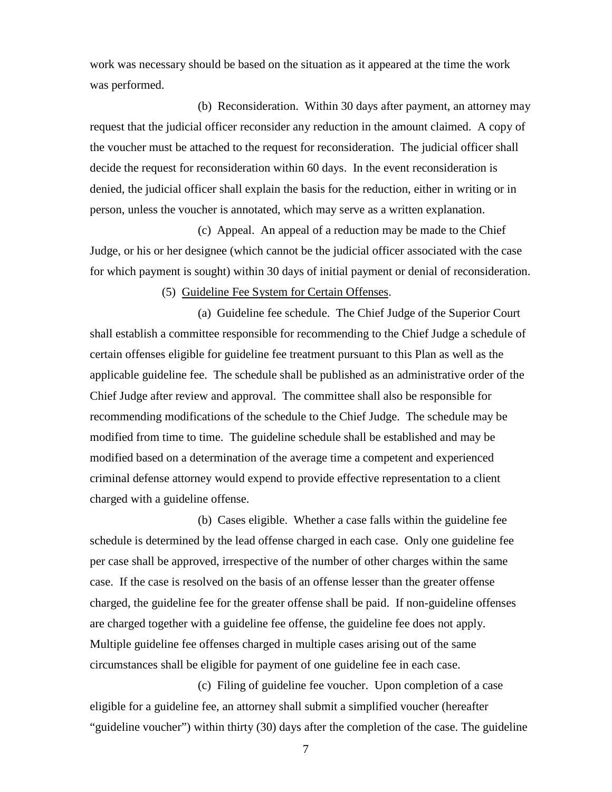work was necessary should be based on the situation as it appeared at the time the work was performed.

(b) Reconsideration. Within 30 days after payment, an attorney may request that the judicial officer reconsider any reduction in the amount claimed. A copy of the voucher must be attached to the request for reconsideration. The judicial officer shall decide the request for reconsideration within 60 days. In the event reconsideration is denied, the judicial officer shall explain the basis for the reduction, either in writing or in person, unless the voucher is annotated, which may serve as a written explanation.

(c) Appeal. An appeal of a reduction may be made to the Chief Judge, or his or her designee (which cannot be the judicial officer associated with the case for which payment is sought) within 30 days of initial payment or denial of reconsideration.

#### (5) Guideline Fee System for Certain Offenses.

(a) Guideline fee schedule. The Chief Judge of the Superior Court shall establish a committee responsible for recommending to the Chief Judge a schedule of certain offenses eligible for guideline fee treatment pursuant to this Plan as well as the applicable guideline fee. The schedule shall be published as an administrative order of the Chief Judge after review and approval. The committee shall also be responsible for recommending modifications of the schedule to the Chief Judge. The schedule may be modified from time to time. The guideline schedule shall be established and may be modified based on a determination of the average time a competent and experienced criminal defense attorney would expend to provide effective representation to a client charged with a guideline offense.

(b) Cases eligible. Whether a case falls within the guideline fee schedule is determined by the lead offense charged in each case. Only one guideline fee per case shall be approved, irrespective of the number of other charges within the same case. If the case is resolved on the basis of an offense lesser than the greater offense charged, the guideline fee for the greater offense shall be paid. If non-guideline offenses are charged together with a guideline fee offense, the guideline fee does not apply. Multiple guideline fee offenses charged in multiple cases arising out of the same circumstances shall be eligible for payment of one guideline fee in each case.

(c) Filing of guideline fee voucher. Upon completion of a case eligible for a guideline fee, an attorney shall submit a simplified voucher (hereafter "guideline voucher") within thirty (30) days after the completion of the case. The guideline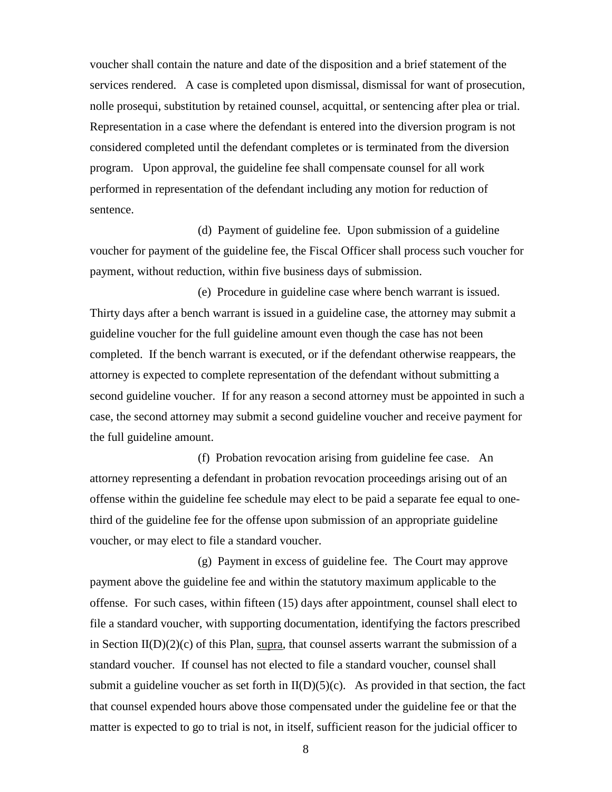voucher shall contain the nature and date of the disposition and a brief statement of the services rendered. A case is completed upon dismissal, dismissal for want of prosecution, nolle prosequi, substitution by retained counsel, acquittal, or sentencing after plea or trial. Representation in a case where the defendant is entered into the diversion program is not considered completed until the defendant completes or is terminated from the diversion program. Upon approval, the guideline fee shall compensate counsel for all work performed in representation of the defendant including any motion for reduction of sentence.

 (d) Payment of guideline fee. Upon submission of a guideline voucher for payment of the guideline fee, the Fiscal Officer shall process such voucher for payment, without reduction, within five business days of submission.

 (e) Procedure in guideline case where bench warrant is issued. Thirty days after a bench warrant is issued in a guideline case, the attorney may submit a guideline voucher for the full guideline amount even though the case has not been completed. If the bench warrant is executed, or if the defendant otherwise reappears, the attorney is expected to complete representation of the defendant without submitting a second guideline voucher. If for any reason a second attorney must be appointed in such a case, the second attorney may submit a second guideline voucher and receive payment for the full guideline amount.

 (f) Probation revocation arising from guideline fee case. An attorney representing a defendant in probation revocation proceedings arising out of an offense within the guideline fee schedule may elect to be paid a separate fee equal to onethird of the guideline fee for the offense upon submission of an appropriate guideline voucher, or may elect to file a standard voucher.

 (g) Payment in excess of guideline fee. The Court may approve payment above the guideline fee and within the statutory maximum applicable to the offense. For such cases, within fifteen (15) days after appointment, counsel shall elect to file a standard voucher, with supporting documentation, identifying the factors prescribed in Section  $II(D)(2)(c)$  of this Plan, supra, that counsel asserts warrant the submission of a standard voucher. If counsel has not elected to file a standard voucher, counsel shall submit a guideline voucher as set forth in  $II(D)(5)(c)$ . As provided in that section, the fact that counsel expended hours above those compensated under the guideline fee or that the matter is expected to go to trial is not, in itself, sufficient reason for the judicial officer to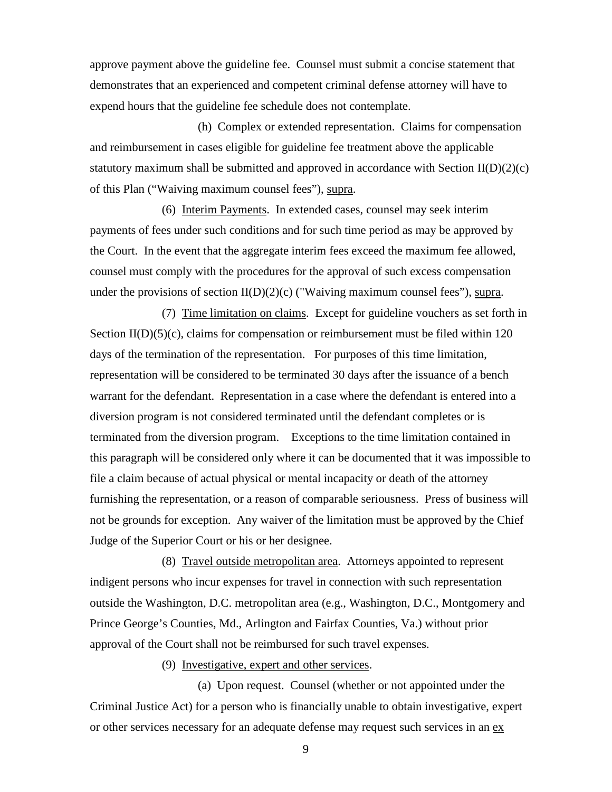approve payment above the guideline fee. Counsel must submit a concise statement that demonstrates that an experienced and competent criminal defense attorney will have to expend hours that the guideline fee schedule does not contemplate.

 (h) Complex or extended representation. Claims for compensation and reimbursement in cases eligible for guideline fee treatment above the applicable statutory maximum shall be submitted and approved in accordance with Section  $II(D)(2)(c)$ of this Plan ("Waiving maximum counsel fees"), supra.

(6) Interim Payments. In extended cases, counsel may seek interim payments of fees under such conditions and for such time period as may be approved by the Court. In the event that the aggregate interim fees exceed the maximum fee allowed, counsel must comply with the procedures for the approval of such excess compensation under the provisions of section  $II(D)(2)(c)$  ("Waiving maximum counsel fees"), supra.

(7) Time limitation on claims. Except for guideline vouchers as set forth in Section II(D)(5)(c), claims for compensation or reimbursement must be filed within 120 days of the termination of the representation. For purposes of this time limitation, representation will be considered to be terminated 30 days after the issuance of a bench warrant for the defendant. Representation in a case where the defendant is entered into a diversion program is not considered terminated until the defendant completes or is terminated from the diversion program. Exceptions to the time limitation contained in this paragraph will be considered only where it can be documented that it was impossible to file a claim because of actual physical or mental incapacity or death of the attorney furnishing the representation, or a reason of comparable seriousness. Press of business will not be grounds for exception. Any waiver of the limitation must be approved by the Chief Judge of the Superior Court or his or her designee.

(8) Travel outside metropolitan area. Attorneys appointed to represent indigent persons who incur expenses for travel in connection with such representation outside the Washington, D.C. metropolitan area (e.g., Washington, D.C., Montgomery and Prince George's Counties, Md., Arlington and Fairfax Counties, Va.) without prior approval of the Court shall not be reimbursed for such travel expenses.

(9) Investigative, expert and other services.

(a) Upon request. Counsel (whether or not appointed under the Criminal Justice Act) for a person who is financially unable to obtain investigative, expert or other services necessary for an adequate defense may request such services in an ex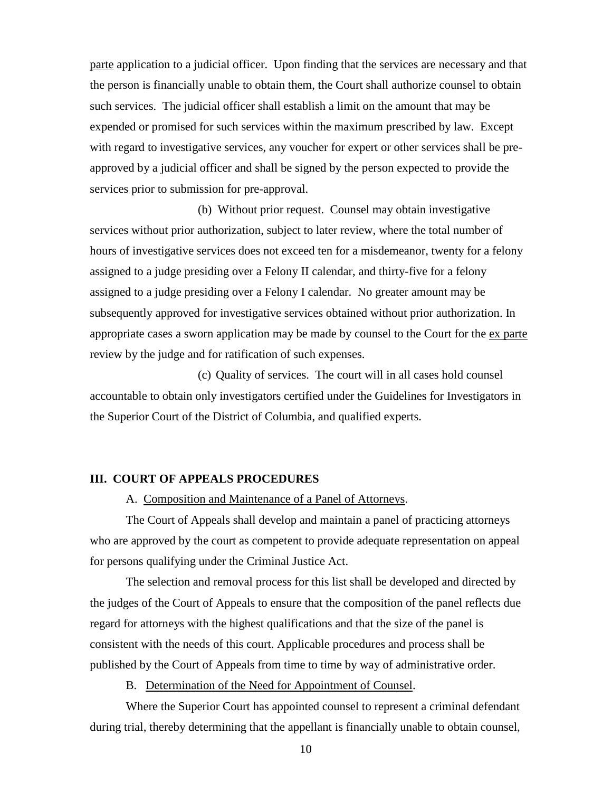parte application to a judicial officer. Upon finding that the services are necessary and that the person is financially unable to obtain them, the Court shall authorize counsel to obtain such services. The judicial officer shall establish a limit on the amount that may be expended or promised for such services within the maximum prescribed by law. Except with regard to investigative services, any voucher for expert or other services shall be preapproved by a judicial officer and shall be signed by the person expected to provide the services prior to submission for pre-approval.

(b) Without prior request. Counsel may obtain investigative services without prior authorization, subject to later review, where the total number of hours of investigative services does not exceed ten for a misdemeanor, twenty for a felony assigned to a judge presiding over a Felony II calendar, and thirty-five for a felony assigned to a judge presiding over a Felony I calendar. No greater amount may be subsequently approved for investigative services obtained without prior authorization. In appropriate cases a sworn application may be made by counsel to the Court for the ex parte review by the judge and for ratification of such expenses.

(c) Quality of services. The court will in all cases hold counsel accountable to obtain only investigators certified under the Guidelines for Investigators in the Superior Court of the District of Columbia, and qualified experts.

## **III. COURT OF APPEALS PROCEDURES**

A. Composition and Maintenance of a Panel of Attorneys.

The Court of Appeals shall develop and maintain a panel of practicing attorneys who are approved by the court as competent to provide adequate representation on appeal for persons qualifying under the Criminal Justice Act.

The selection and removal process for this list shall be developed and directed by the judges of the Court of Appeals to ensure that the composition of the panel reflects due regard for attorneys with the highest qualifications and that the size of the panel is consistent with the needs of this court. Applicable procedures and process shall be published by the Court of Appeals from time to time by way of administrative order.

B. Determination of the Need for Appointment of Counsel.

Where the Superior Court has appointed counsel to represent a criminal defendant during trial, thereby determining that the appellant is financially unable to obtain counsel,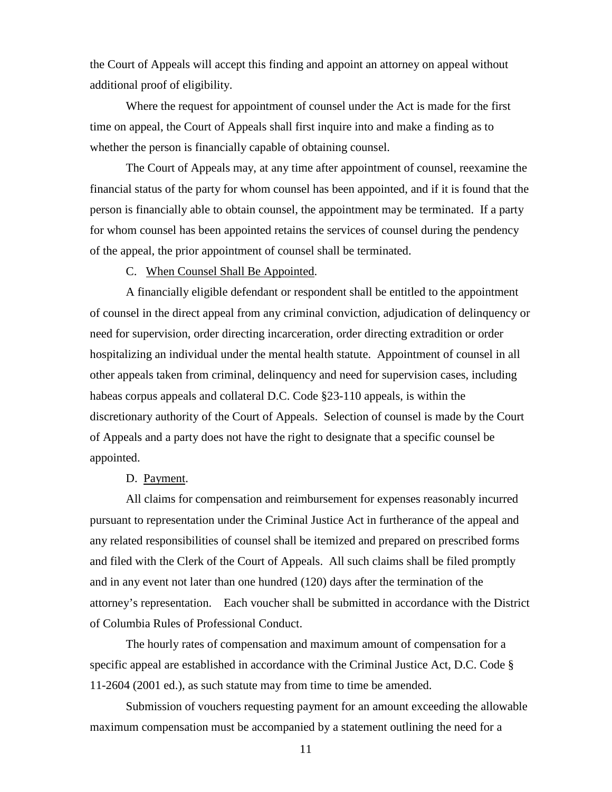the Court of Appeals will accept this finding and appoint an attorney on appeal without additional proof of eligibility.

Where the request for appointment of counsel under the Act is made for the first time on appeal, the Court of Appeals shall first inquire into and make a finding as to whether the person is financially capable of obtaining counsel.

The Court of Appeals may, at any time after appointment of counsel, reexamine the financial status of the party for whom counsel has been appointed, and if it is found that the person is financially able to obtain counsel, the appointment may be terminated. If a party for whom counsel has been appointed retains the services of counsel during the pendency of the appeal, the prior appointment of counsel shall be terminated.

C. When Counsel Shall Be Appointed.

A financially eligible defendant or respondent shall be entitled to the appointment of counsel in the direct appeal from any criminal conviction, adjudication of delinquency or need for supervision, order directing incarceration, order directing extradition or order hospitalizing an individual under the mental health statute. Appointment of counsel in all other appeals taken from criminal, delinquency and need for supervision cases, including habeas corpus appeals and collateral D.C. Code §23-110 appeals, is within the discretionary authority of the Court of Appeals. Selection of counsel is made by the Court of Appeals and a party does not have the right to designate that a specific counsel be appointed.

# D. Payment.

All claims for compensation and reimbursement for expenses reasonably incurred pursuant to representation under the Criminal Justice Act in furtherance of the appeal and any related responsibilities of counsel shall be itemized and prepared on prescribed forms and filed with the Clerk of the Court of Appeals. All such claims shall be filed promptly and in any event not later than one hundred (120) days after the termination of the attorney's representation. Each voucher shall be submitted in accordance with the District of Columbia Rules of Professional Conduct.

 The hourly rates of compensation and maximum amount of compensation for a specific appeal are established in accordance with the Criminal Justice Act, D.C. Code § 11-2604 (2001 ed.), as such statute may from time to time be amended.

Submission of vouchers requesting payment for an amount exceeding the allowable maximum compensation must be accompanied by a statement outlining the need for a